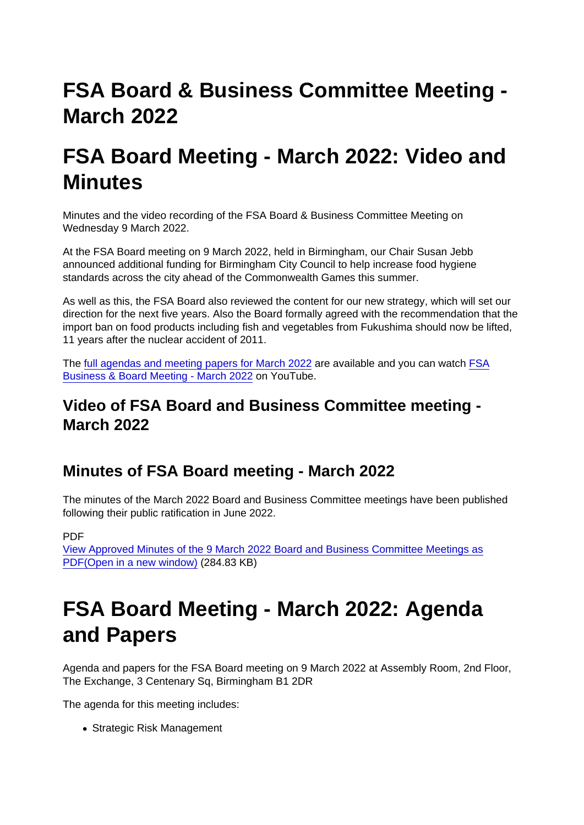# FSA Board & Business Committee Meeting - March 2022

## FSA Board Meeting - March 2022: Video and **Minutes**

Minutes and the video recording of the FSA Board & Business Committee Meeting on Wednesday 9 March 2022.

At the FSA Board meeting on 9 March 2022, held in Birmingham, our Chair Susan Jebb announced additional funding for Birmingham City Council to help increase food hygiene standards across the city ahead of the Commonwealth Games this summer.

As well as this, the FSA Board also reviewed the content for our new strategy, which will set our direction for the next five years. Also the Board formally agreed with the recommendation that the import ban on food products including fish and vegetables from Fukushima should now be lifted, 11 years after the nuclear accident of 2011.

The [full agendas and meeting papers for March 2022](https://www.food.gov.uk/about-us/fsa-board-meeting-march-2022-agenda-and-papers) are available and you can watch [FSA](https://youtu.be/37oO9vO0T1o) [Business & Board Meeting - March 2022](https://youtu.be/37oO9vO0T1o) on YouTube.

Video of FSA Board and Business Committee meeting - March 2022

### Minutes of FSA Board meeting - March 2022

The minutes of the March 2022 Board and Business Committee meetings have been published following their public ratification in June 2022.

PDF

[View Approved Minutes of the 9 March 2022 Board and Business Committee Meetings as](https://www.food.gov.uk/sites/default/files/media/document/Approved Minutes of the 9 March 2022 Board and Business Committee Meetings.pdf) [PDF\(Open in a new window\)](https://www.food.gov.uk/sites/default/files/media/document/Approved Minutes of the 9 March 2022 Board and Business Committee Meetings.pdf) (284.83 KB)

## FSA Board Meeting - March 2022: Agenda and Papers

Agenda and papers for the FSA Board meeting on 9 March 2022 at Assembly Room, 2nd Floor, The Exchange, 3 Centenary Sq, Birmingham B1 2DR

The agenda for this meeting includes:

• Strategic Risk Management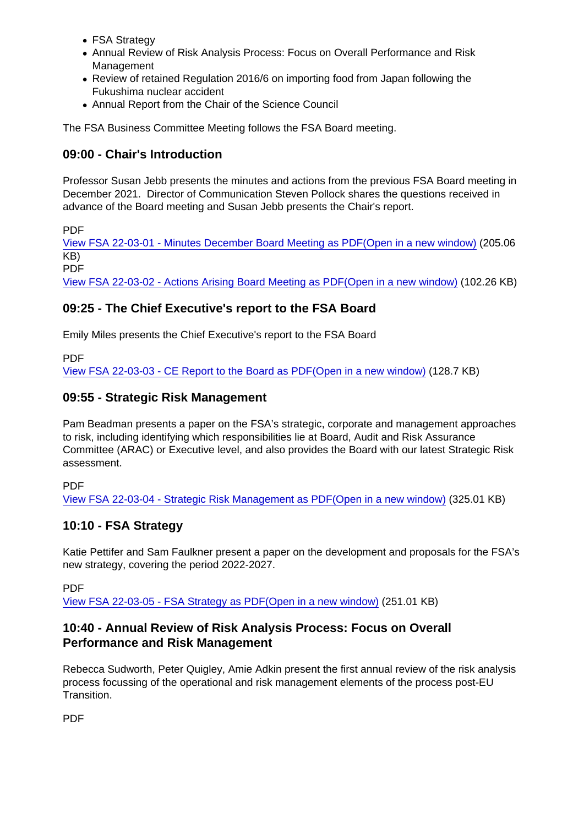- FSA Strategy
- Annual Review of Risk Analysis Process: Focus on Overall Performance and Risk Management
- Review of retained Regulation 2016/6 on importing food from Japan following the Fukushima nuclear accident
- Annual Report from the Chair of the Science Council

The FSA Business Committee Meeting follows the FSA Board meeting.

#### 09:00 - Chair's Introduction

Professor Susan Jebb presents the minutes and actions from the previous FSA Board meeting in December 2021. Director of Communication Steven Pollock shares the questions received in advance of the Board meeting and Susan Jebb presents the Chair's report.

PDF

[View FSA 22-03-01 - Minutes December Board Meeting as PDF\(Open in a new window\)](https://www.food.gov.uk/sites/default/files/media/document/FSA 22-03-01 - Minutes December Board Meeting.pdf) (205.06 KB) PDF

[View FSA 22-03-02 - Actions Arising Board Meeting as PDF\(Open in a new window\)](https://www.food.gov.uk/sites/default/files/media/document/FSA 22-03-02 - Actions Arising Board Meeting.pdf) (102.26 KB)

### 09:25 - The Chief Executive's report to the FSA Board

Emily Miles presents the Chief Executive's report to the FSA Board

PDF

[View FSA 22-03-03 - CE Report to the Board as PDF\(Open in a new window\)](https://www.food.gov.uk/sites/default/files/media/document/FSA 22-03-03 - CE Report to Board_March 2022.pdf) (128.7 KB)

#### 09:55 - Strategic Risk Management

Pam Beadman presents a paper on the FSA's strategic, corporate and management approaches to risk, including identifying which responsibilities lie at Board, Audit and Risk Assurance Committee (ARAC) or Executive level, and also provides the Board with our latest Strategic Risk assessment.

PDF

[View FSA 22-03-04 - Strategic Risk Management as PDF\(Open in a new window\)](https://www.food.gov.uk/sites/default/files/media/document/FSA 22-03-04 - Strategic Risk Management.pdf) (325.01 KB)

#### 10:10 - FSA Strategy

Katie Pettifer and Sam Faulkner present a paper on the development and proposals for the FSA's new strategy, covering the period 2022-2027.

PDF

[View FSA 22-03-05 - FSA Strategy as PDF\(Open in a new window\)](https://www.food.gov.uk/sites/default/files/media/document/FSA 22-03-05 - FSA Strategy.pdf) (251.01 KB)

#### 10:40 - Annual Review of Risk Analysis Process: Focus on Overall Performance and Risk Management

Rebecca Sudworth, Peter Quigley, Amie Adkin present the first annual review of the risk analysis process focussing of the operational and risk management elements of the process post-EU Transition.

PDF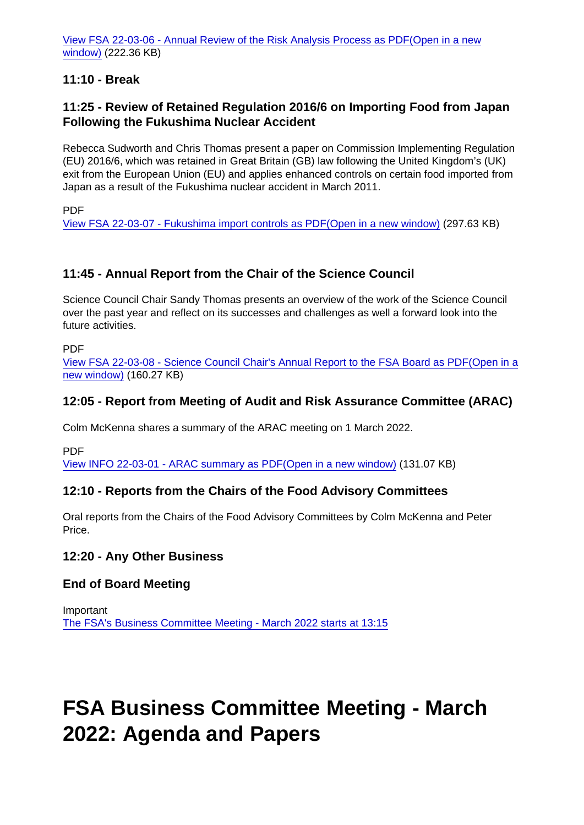[View FSA 22-03-06 - Annual Review of the Risk Analysis Process as PDF\(Open in a new](https://www.food.gov.uk/sites/default/files/media/document/FSA 22-03-06 - Annual Review of the Risk Analysis Process.pdf) [window\)](https://www.food.gov.uk/sites/default/files/media/document/FSA 22-03-06 - Annual Review of the Risk Analysis Process.pdf) (222.36 KB)

11:10 - Break

11:25 - Review of Retained Regulation 2016/6 on Importing Food from Japan Following the Fukushima Nuclear Accident

Rebecca Sudworth and Chris Thomas present a paper on Commission Implementing Regulation (EU) 2016/6, which was retained in Great Britain (GB) law following the United Kingdom's (UK) exit from the European Union (EU) and applies enhanced controls on certain food imported from Japan as a result of the Fukushima nuclear accident in March 2011.

PDF

[View FSA 22-03-07 - Fukushima import controls as PDF\(Open in a new window\)](https://www.food.gov.uk/sites/default/files/media/document/FSA 22-03-07 - Fukushima import controls.pdf) (297.63 KB)

#### 11:45 - Annual Report from the Chair of the Science Council

Science Council Chair Sandy Thomas presents an overview of the work of the Science Council over the past year and reflect on its successes and challenges as well a forward look into the future activities.

PDF

[View FSA 22-03-08 - Science Council Chair's Annual Report to the FSA Board as PDF\(Open in a](https://www.food.gov.uk/sites/default/files/media/document/FSA 22-03-08 - Science Council Chair) [new window\)](https://www.food.gov.uk/sites/default/files/media/document/FSA 22-03-08 - Science Council Chair) (160.27 KB)

12:05 - Report from Meeting of Audit and Risk Assurance Committee (ARAC)

Colm McKenna shares a summary of the ARAC meeting on 1 March 2022.

PDF

[View INFO 22-03-01 - ARAC summary as PDF\(Open in a new window\)](https://www.food.gov.uk/sites/default/files/media/document/INFO 22-03-01 - ARAC summary.pdf) (131.07 KB)

12:10 - Reports from the Chairs of the Food Advisory Committees

Oral reports from the Chairs of the Food Advisory Committees by Colm McKenna and Peter Price.

12:20 - Any Other Business

End of Board Meeting

Important [The FSA's Business Committee Meeting - March 2022 starts at 13:15](https://www.food.gov.uk/about-us/fsa-business-committee-meeting-march-2022-agenda-and-papers)

### FSA Business Committee Meeting - March 2022: Agenda and Papers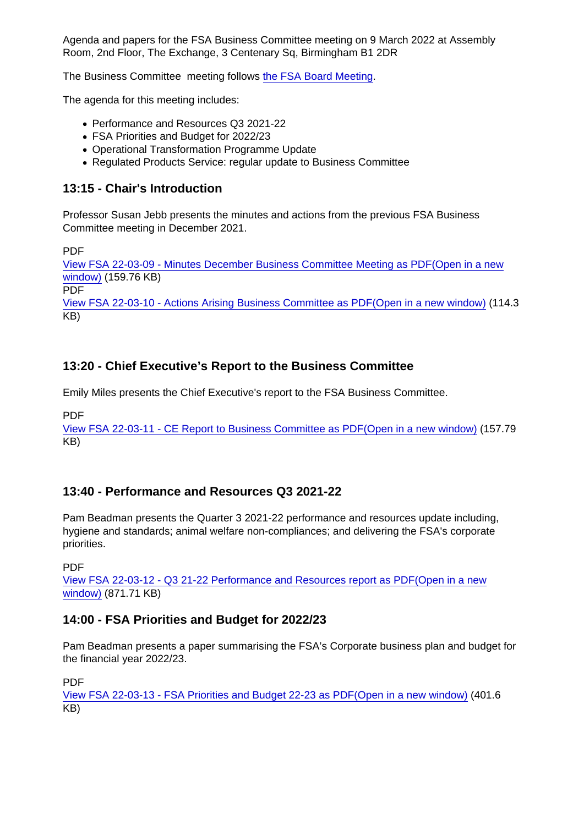Agenda and papers for the FSA Business Committee meeting on 9 March 2022 at Assembly Room, 2nd Floor, The Exchange, 3 Centenary Sq, Birmingham B1 2DR

The Business Committee meeting follows [the FSA Board Meeting](https://www.food.gov.uk/about-us/fsa-board-meeting-march-2022-agenda-and-papers).

The agenda for this meeting includes:

- Performance and Resources Q3 2021-22
- FSA Priorities and Budget for 2022/23
- Operational Transformation Programme Update
- Regulated Products Service: regular update to Business Committee

#### 13:15 - Chair's Introduction

Professor Susan Jebb presents the minutes and actions from the previous FSA Business Committee meeting in December 2021.

PDF

[View FSA 22-03-09 - Minutes December Business Committee Meeting as PDF\(Open in a new](https://www.food.gov.uk/sites/default/files/media/document/FSA 22-03-09 - Minutes December Business Committee Meeting.pdf) [window\)](https://www.food.gov.uk/sites/default/files/media/document/FSA 22-03-09 - Minutes December Business Committee Meeting.pdf) (159.76 KB)

PDF

[View FSA 22-03-10 - Actions Arising Business Committee as PDF\(Open in a new window\)](https://www.food.gov.uk/sites/default/files/media/document/FSA 22-03-10 - Actions Arising Business Committe.pdf) (114.3 KB)

#### 13:20 - Chief Executive's Report to the Business Committee

Emily Miles presents the Chief Executive's report to the FSA Business Committee.

PDF

[View FSA 22-03-11 - CE Report to Business Committee as PDF\(Open in a new window\)](https://www.food.gov.uk/sites/default/files/media/document/FSA 22-03-11 - CE Report to Business Committee_March 2022.pdf) (157.79 KB)

#### 13:40 - Performance and Resources Q3 2021-22

Pam Beadman presents the Quarter 3 2021-22 performance and resources update including, hygiene and standards; animal welfare non-compliances; and delivering the FSA's corporate priorities.

PDF

[View FSA 22-03-12 - Q3 21-22 Performance and Resources report as PDF\(Open in a new](https://www.food.gov.uk/sites/default/files/media/document/FSA 22-03-12 - Q3 21-22 Performance and Resources report.pdf) [window\)](https://www.food.gov.uk/sites/default/files/media/document/FSA 22-03-12 - Q3 21-22 Performance and Resources report.pdf) (871.71 KB)

14:00 - FSA Priorities and Budget for 2022/23

Pam Beadman presents a paper summarising the FSA's Corporate business plan and budget for the financial year 2022/23.

PDF

[View FSA 22-03-13 - FSA Priorities and Budget 22-23 as PDF\(Open in a new window\)](https://www.food.gov.uk/sites/default/files/media/document/FSA 22-03-13 - FSA Priorities and Budget 22-23.pdf) (401.6 KB)